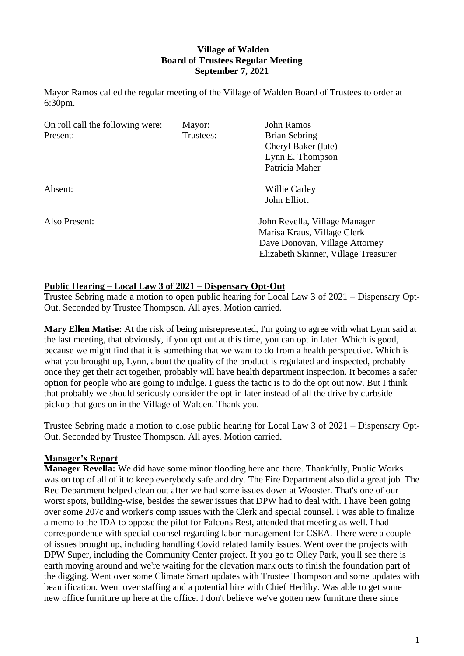# **Village of Walden Board of Trustees Regular Meeting September 7, 2021**

Mayor Ramos called the regular meeting of the Village of Walden Board of Trustees to order at 6:30pm.

| On roll call the following were: | Mayor:    | <b>John Ramos</b>                    |
|----------------------------------|-----------|--------------------------------------|
| Present:                         | Trustees: | Brian Sebring                        |
|                                  |           | Cheryl Baker (late)                  |
|                                  |           | Lynn E. Thompson                     |
|                                  |           | Patricia Maher                       |
| Absent:                          |           | Willie Carley                        |
|                                  |           | John Elliott                         |
| Also Present:                    |           | John Revella, Village Manager        |
|                                  |           | Marisa Kraus, Village Clerk          |
|                                  |           | Dave Donovan, Village Attorney       |
|                                  |           | Elizabeth Skinner, Village Treasurer |

# **Public Hearing – Local Law 3 of 2021 – Dispensary Opt-Out**

Trustee Sebring made a motion to open public hearing for Local Law 3 of 2021 – Dispensary Opt-Out. Seconded by Trustee Thompson. All ayes. Motion carried.

**Mary Ellen Matise:** At the risk of being misrepresented, I'm going to agree with what Lynn said at the last meeting, that obviously, if you opt out at this time, you can opt in later. Which is good, because we might find that it is something that we want to do from a health perspective. Which is what you brought up, Lynn, about the quality of the product is regulated and inspected, probably once they get their act together, probably will have health department inspection. It becomes a safer option for people who are going to indulge. I guess the tactic is to do the opt out now. But I think that probably we should seriously consider the opt in later instead of all the drive by curbside pickup that goes on in the Village of Walden. Thank you.

Trustee Sebring made a motion to close public hearing for Local Law 3 of 2021 – Dispensary Opt-Out. Seconded by Trustee Thompson. All ayes. Motion carried.

#### **Manager's Report**

**Manager Revella:** We did have some minor flooding here and there. Thankfully, Public Works was on top of all of it to keep everybody safe and dry. The Fire Department also did a great job. The Rec Department helped clean out after we had some issues down at Wooster. That's one of our worst spots, building-wise, besides the sewer issues that DPW had to deal with. I have been going over some 207c and worker's comp issues with the Clerk and special counsel. I was able to finalize a memo to the IDA to oppose the pilot for Falcons Rest, attended that meeting as well. I had correspondence with special counsel regarding labor management for CSEA. There were a couple of issues brought up, including handling Covid related family issues. Went over the projects with DPW Super, including the Community Center project. If you go to Olley Park, you'll see there is earth moving around and we're waiting for the elevation mark outs to finish the foundation part of the digging. Went over some Climate Smart updates with Trustee Thompson and some updates with beautification. Went over staffing and a potential hire with Chief Herlihy. Was able to get some new office furniture up here at the office. I don't believe we've gotten new furniture there since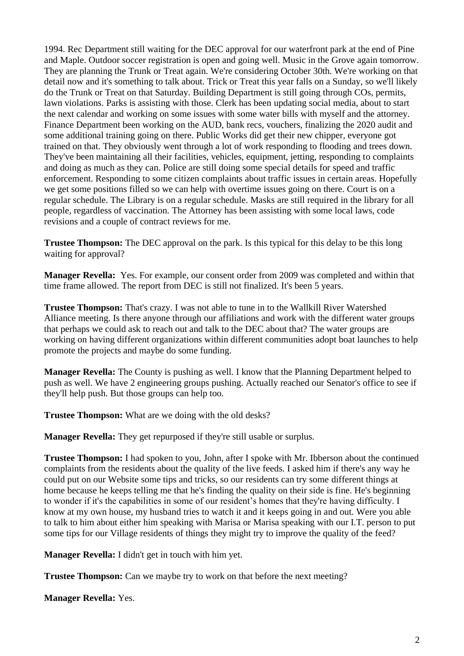1994. Rec Department still waiting for the DEC approval for our waterfront park at the end of Pine and Maple. Outdoor soccer registration is open and going well. Music in the Grove again tomorrow. They are planning the Trunk or Treat again. We're considering October 30th. We're working on that detail now and it's something to talk about. Trick or Treat this year falls on a Sunday, so we'll likely do the Trunk or Treat on that Saturday. Building Department is still going through COs, permits, lawn violations. Parks is assisting with those. Clerk has been updating social media, about to start the next calendar and working on some issues with some water bills with myself and the attorney. Finance Department been working on the AUD, bank recs, vouchers, finalizing the 2020 audit and some additional training going on there. Public Works did get their new chipper, everyone got trained on that. They obviously went through a lot of work responding to flooding and trees down. They've been maintaining all their facilities, vehicles, equipment, jetting, responding to complaints and doing as much as they can. Police are still doing some special details for speed and traffic enforcement. Responding to some citizen complaints about traffic issues in certain areas. Hopefully we get some positions filled so we can help with overtime issues going on there. Court is on a regular schedule. The Library is on a regular schedule. Masks are still required in the library for all people, regardless of vaccination. The Attorney has been assisting with some local laws, code revisions and a couple of contract reviews for me.

**Trustee Thompson:** The DEC approval on the park. Is this typical for this delay to be this long waiting for approval?

**Manager Revella:** Yes. For example, our consent order from 2009 was completed and within that time frame allowed. The report from DEC is still not finalized. It's been 5 years.

**Trustee Thompson:** That's crazy. I was not able to tune in to the Wallkill River Watershed Alliance meeting. Is there anyone through our affiliations and work with the different water groups that perhaps we could ask to reach out and talk to the DEC about that? The water groups are working on having different organizations within different communities adopt boat launches to help promote the projects and maybe do some funding.

**Manager Revella:** The County is pushing as well. I know that the Planning Department helped to push as well. We have 2 engineering groups pushing. Actually reached our Senator's office to see if they'll help push. But those groups can help too.

**Trustee Thompson:** What are we doing with the old desks?

**Manager Revella:** They get repurposed if they're still usable or surplus.

**Trustee Thompson:** I had spoken to you, John, after I spoke with Mr. Ibberson about the continued complaints from the residents about the quality of the live feeds. I asked him if there's any way he could put on our Website some tips and tricks, so our residents can try some different things at home because he keeps telling me that he's finding the quality on their side is fine. He's beginning to wonder if it's the capabilities in some of our resident's homes that they're having difficulty. I know at my own house, my husband tries to watch it and it keeps going in and out. Were you able to talk to him about either him speaking with Marisa or Marisa speaking with our I.T. person to put some tips for our Village residents of things they might try to improve the quality of the feed?

**Manager Revella:** I didn't get in touch with him yet.

**Trustee Thompson:** Can we maybe try to work on that before the next meeting?

**Manager Revella:** Yes.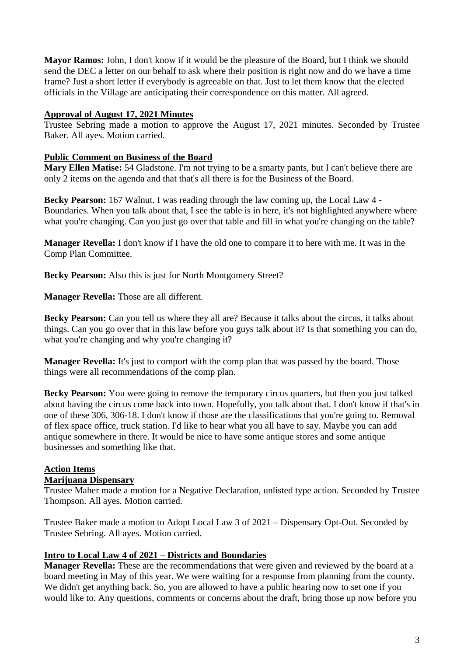**Mayor Ramos:** John, I don't know if it would be the pleasure of the Board, but I think we should send the DEC a letter on our behalf to ask where their position is right now and do we have a time frame? Just a short letter if everybody is agreeable on that. Just to let them know that the elected officials in the Village are anticipating their correspondence on this matter. All agreed.

#### **Approval of August 17, 2021 Minutes**

Trustee Sebring made a motion to approve the August 17, 2021 minutes. Seconded by Trustee Baker. All ayes. Motion carried.

# **Public Comment on Business of the Board**

**Mary Ellen Matise:** 54 Gladstone. I'm not trying to be a smarty pants, but I can't believe there are only 2 items on the agenda and that that's all there is for the Business of the Board.

**Becky Pearson:** 167 Walnut. I was reading through the law coming up, the Local Law 4 - Boundaries. When you talk about that, I see the table is in here, it's not highlighted anywhere where what you're changing. Can you just go over that table and fill in what you're changing on the table?

**Manager Revella:** I don't know if I have the old one to compare it to here with me. It was in the Comp Plan Committee.

**Becky Pearson:** Also this is just for North Montgomery Street?

**Manager Revella:** Those are all different.

Becky Pearson: Can you tell us where they all are? Because it talks about the circus, it talks about things. Can you go over that in this law before you guys talk about it? Is that something you can do, what you're changing and why you're changing it?

**Manager Revella:** It's just to comport with the comp plan that was passed by the board. Those things were all recommendations of the comp plan.

**Becky Pearson:** You were going to remove the temporary circus quarters, but then you just talked about having the circus come back into town. Hopefully, you talk about that. I don't know if that's in one of these 306, 306-18. I don't know if those are the classifications that you're going to. Removal of flex space office, truck station. I'd like to hear what you all have to say. Maybe you can add antique somewhere in there. It would be nice to have some antique stores and some antique businesses and something like that.

# **Action Items**

# **Marijuana Dispensary**

Trustee Maher made a motion for a Negative Declaration, unlisted type action. Seconded by Trustee Thompson. All ayes. Motion carried.

Trustee Baker made a motion to Adopt Local Law 3 of 2021 – Dispensary Opt-Out. Seconded by Trustee Sebring. All ayes. Motion carried.

# **Intro to Local Law 4 of 2021 – Districts and Boundaries**

**Manager Revella:** These are the recommendations that were given and reviewed by the board at a board meeting in May of this year. We were waiting for a response from planning from the county. We didn't get anything back. So, you are allowed to have a public hearing now to set one if you would like to. Any questions, comments or concerns about the draft, bring those up now before you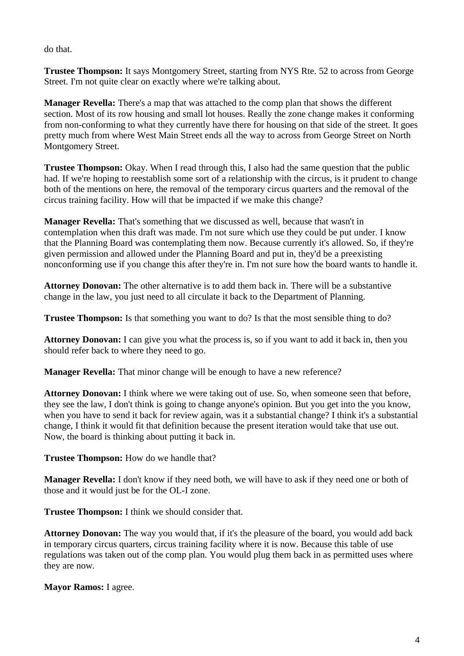do that.

**Trustee Thompson:** It says Montgomery Street, starting from NYS Rte. 52 to across from George Street. I'm not quite clear on exactly where we're talking about.

**Manager Revella:** There's a map that was attached to the comp plan that shows the different section. Most of its row housing and small lot houses. Really the zone change makes it conforming from non-conforming to what they currently have there for housing on that side of the street. It goes pretty much from where West Main Street ends all the way to across from George Street on North Montgomery Street.

**Trustee Thompson:** Okay. When I read through this, I also had the same question that the public had. If we're hoping to reestablish some sort of a relationship with the circus, is it prudent to change both of the mentions on here, the removal of the temporary circus quarters and the removal of the circus training facility. How will that be impacted if we make this change?

**Manager Revella:** That's something that we discussed as well, because that wasn't in contemplation when this draft was made. I'm not sure which use they could be put under. I know that the Planning Board was contemplating them now. Because currently it's allowed. So, if they're given permission and allowed under the Planning Board and put in, they'd be a preexisting nonconforming use if you change this after they're in. I'm not sure how the board wants to handle it.

**Attorney Donovan:** The other alternative is to add them back in. There will be a substantive change in the law, you just need to all circulate it back to the Department of Planning.

**Trustee Thompson:** Is that something you want to do? Is that the most sensible thing to do?

**Attorney Donovan:** I can give you what the process is, so if you want to add it back in, then you should refer back to where they need to go.

**Manager Revella:** That minor change will be enough to have a new reference?

**Attorney Donovan:** I think where we were taking out of use. So, when someone seen that before, they see the law, I don't think is going to change anyone's opinion. But you get into the you know, when you have to send it back for review again, was it a substantial change? I think it's a substantial change, I think it would fit that definition because the present iteration would take that use out. Now, the board is thinking about putting it back in.

**Trustee Thompson:** How do we handle that?

**Manager Revella:** I don't know if they need both, we will have to ask if they need one or both of those and it would just be for the OL-I zone.

**Trustee Thompson:** I think we should consider that.

**Attorney Donovan:** The way you would that, if it's the pleasure of the board, you would add back in temporary circus quarters, circus training facility where it is now. Because this table of use regulations was taken out of the comp plan. You would plug them back in as permitted uses where they are now.

**Mayor Ramos:** I agree.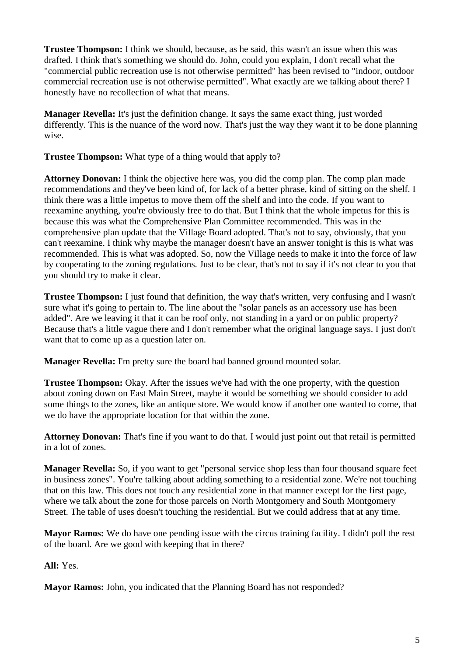**Trustee Thompson:** I think we should, because, as he said, this wasn't an issue when this was drafted. I think that's something we should do. John, could you explain, I don't recall what the "commercial public recreation use is not otherwise permitted" has been revised to "indoor, outdoor commercial recreation use is not otherwise permitted". What exactly are we talking about there? I honestly have no recollection of what that means.

**Manager Revella:** It's just the definition change. It says the same exact thing, just worded differently. This is the nuance of the word now. That's just the way they want it to be done planning wise.

**Trustee Thompson:** What type of a thing would that apply to?

**Attorney Donovan:** I think the objective here was, you did the comp plan. The comp plan made recommendations and they've been kind of, for lack of a better phrase, kind of sitting on the shelf. I think there was a little impetus to move them off the shelf and into the code. If you want to reexamine anything, you're obviously free to do that. But I think that the whole impetus for this is because this was what the Comprehensive Plan Committee recommended. This was in the comprehensive plan update that the Village Board adopted. That's not to say, obviously, that you can't reexamine. I think why maybe the manager doesn't have an answer tonight is this is what was recommended. This is what was adopted. So, now the Village needs to make it into the force of law by cooperating to the zoning regulations. Just to be clear, that's not to say if it's not clear to you that you should try to make it clear.

**Trustee Thompson:** I just found that definition, the way that's written, very confusing and I wasn't sure what it's going to pertain to. The line about the "solar panels as an accessory use has been added". Are we leaving it that it can be roof only, not standing in a yard or on public property? Because that's a little vague there and I don't remember what the original language says. I just don't want that to come up as a question later on.

**Manager Revella:** I'm pretty sure the board had banned ground mounted solar.

**Trustee Thompson:** Okay. After the issues we've had with the one property, with the question about zoning down on East Main Street, maybe it would be something we should consider to add some things to the zones, like an antique store. We would know if another one wanted to come, that we do have the appropriate location for that within the zone.

**Attorney Donovan:** That's fine if you want to do that. I would just point out that retail is permitted in a lot of zones.

**Manager Revella:** So, if you want to get "personal service shop less than four thousand square feet in business zones". You're talking about adding something to a residential zone. We're not touching that on this law. This does not touch any residential zone in that manner except for the first page, where we talk about the zone for those parcels on North Montgomery and South Montgomery Street. The table of uses doesn't touching the residential. But we could address that at any time.

**Mayor Ramos:** We do have one pending issue with the circus training facility. I didn't poll the rest of the board. Are we good with keeping that in there?

**All:** Yes.

**Mayor Ramos:** John, you indicated that the Planning Board has not responded?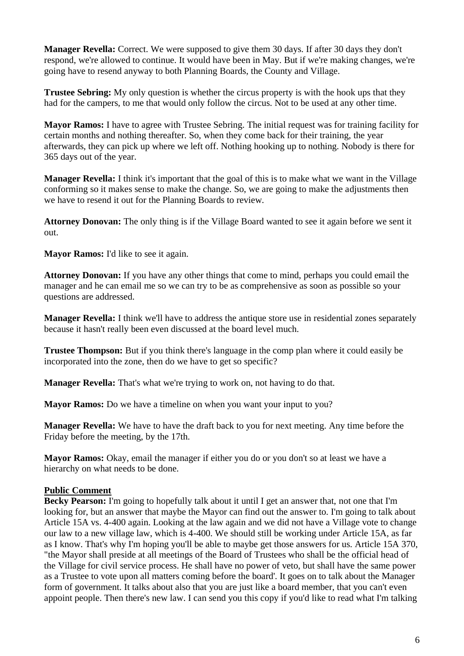**Manager Revella:** Correct. We were supposed to give them 30 days. If after 30 days they don't respond, we're allowed to continue. It would have been in May. But if we're making changes, we're going have to resend anyway to both Planning Boards, the County and Village.

**Trustee Sebring:** My only question is whether the circus property is with the hook ups that they had for the campers, to me that would only follow the circus. Not to be used at any other time.

**Mayor Ramos:** I have to agree with Trustee Sebring. The initial request was for training facility for certain months and nothing thereafter. So, when they come back for their training, the year afterwards, they can pick up where we left off. Nothing hooking up to nothing. Nobody is there for 365 days out of the year.

**Manager Revella:** I think it's important that the goal of this is to make what we want in the Village conforming so it makes sense to make the change. So, we are going to make the adjustments then we have to resend it out for the Planning Boards to review.

**Attorney Donovan:** The only thing is if the Village Board wanted to see it again before we sent it out.

**Mayor Ramos:** I'd like to see it again.

**Attorney Donovan:** If you have any other things that come to mind, perhaps you could email the manager and he can email me so we can try to be as comprehensive as soon as possible so your questions are addressed.

**Manager Revella:** I think we'll have to address the antique store use in residential zones separately because it hasn't really been even discussed at the board level much.

**Trustee Thompson:** But if you think there's language in the comp plan where it could easily be incorporated into the zone, then do we have to get so specific?

**Manager Revella:** That's what we're trying to work on, not having to do that.

**Mayor Ramos:** Do we have a timeline on when you want your input to you?

**Manager Revella:** We have to have the draft back to you for next meeting. Any time before the Friday before the meeting, by the 17th.

**Mayor Ramos:** Okay, email the manager if either you do or you don't so at least we have a hierarchy on what needs to be done.

# **Public Comment**

**Becky Pearson:** I'm going to hopefully talk about it until I get an answer that, not one that I'm looking for, but an answer that maybe the Mayor can find out the answer to. I'm going to talk about Article 15A vs. 4-400 again. Looking at the law again and we did not have a Village vote to change our law to a new village law, which is 4-400. We should still be working under Article 15A, as far as I know. That's why I'm hoping you'll be able to maybe get those answers for us. Article 15A 370, "the Mayor shall preside at all meetings of the Board of Trustees who shall be the official head of the Village for civil service process. He shall have no power of veto, but shall have the same power as a Trustee to vote upon all matters coming before the board'. It goes on to talk about the Manager form of government. It talks about also that you are just like a board member, that you can't even appoint people. Then there's new law. I can send you this copy if you'd like to read what I'm talking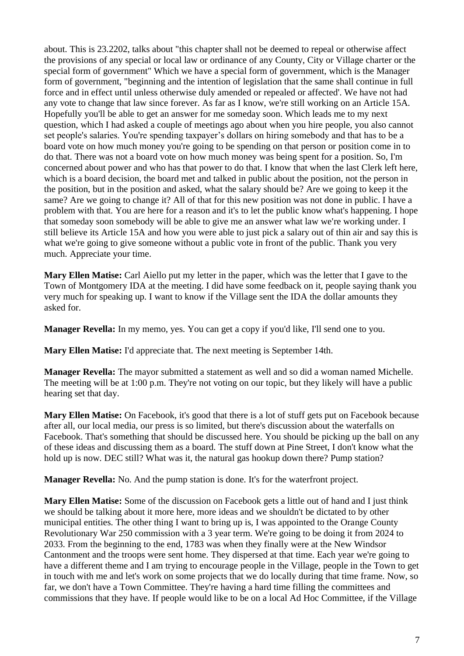about. This is 23.2202, talks about "this chapter shall not be deemed to repeal or otherwise affect the provisions of any special or local law or ordinance of any County, City or Village charter or the special form of government" Which we have a special form of government, which is the Manager form of government, "beginning and the intention of legislation that the same shall continue in full force and in effect until unless otherwise duly amended or repealed or affected'. We have not had any vote to change that law since forever. As far as I know, we're still working on an Article 15A. Hopefully you'll be able to get an answer for me someday soon. Which leads me to my next question, which I had asked a couple of meetings ago about when you hire people, you also cannot set people's salaries. You're spending taxpayer's dollars on hiring somebody and that has to be a board vote on how much money you're going to be spending on that person or position come in to do that. There was not a board vote on how much money was being spent for a position. So, I'm concerned about power and who has that power to do that. I know that when the last Clerk left here, which is a board decision, the board met and talked in public about the position, not the person in the position, but in the position and asked, what the salary should be? Are we going to keep it the same? Are we going to change it? All of that for this new position was not done in public. I have a problem with that. You are here for a reason and it's to let the public know what's happening. I hope that someday soon somebody will be able to give me an answer what law we're working under. I still believe its Article 15A and how you were able to just pick a salary out of thin air and say this is what we're going to give someone without a public vote in front of the public. Thank you very much. Appreciate your time.

**Mary Ellen Matise:** Carl Aiello put my letter in the paper, which was the letter that I gave to the Town of Montgomery IDA at the meeting. I did have some feedback on it, people saying thank you very much for speaking up. I want to know if the Village sent the IDA the dollar amounts they asked for.

**Manager Revella:** In my memo, yes. You can get a copy if you'd like, I'll send one to you.

**Mary Ellen Matise:** I'd appreciate that. The next meeting is September 14th.

**Manager Revella:** The mayor submitted a statement as well and so did a woman named Michelle. The meeting will be at 1:00 p.m. They're not voting on our topic, but they likely will have a public hearing set that day.

**Mary Ellen Matise:** On Facebook, it's good that there is a lot of stuff gets put on Facebook because after all, our local media, our press is so limited, but there's discussion about the waterfalls on Facebook. That's something that should be discussed here. You should be picking up the ball on any of these ideas and discussing them as a board. The stuff down at Pine Street, I don't know what the hold up is now. DEC still? What was it, the natural gas hookup down there? Pump station?

**Manager Revella:** No. And the pump station is done. It's for the waterfront project.

**Mary Ellen Matise:** Some of the discussion on Facebook gets a little out of hand and I just think we should be talking about it more here, more ideas and we shouldn't be dictated to by other municipal entities. The other thing I want to bring up is, I was appointed to the Orange County Revolutionary War 250 commission with a 3 year term. We're going to be doing it from 2024 to 2033. From the beginning to the end, 1783 was when they finally were at the New Windsor Cantonment and the troops were sent home. They dispersed at that time. Each year we're going to have a different theme and I am trying to encourage people in the Village, people in the Town to get in touch with me and let's work on some projects that we do locally during that time frame. Now, so far, we don't have a Town Committee. They're having a hard time filling the committees and commissions that they have. If people would like to be on a local Ad Hoc Committee, if the Village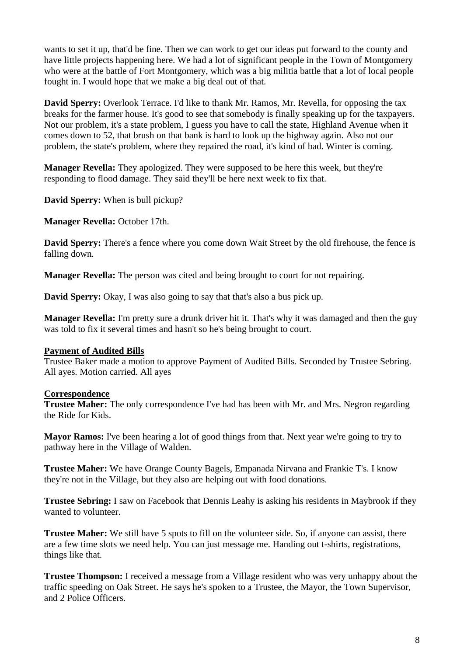wants to set it up, that'd be fine. Then we can work to get our ideas put forward to the county and have little projects happening here. We had a lot of significant people in the Town of Montgomery who were at the battle of Fort Montgomery, which was a big militia battle that a lot of local people fought in. I would hope that we make a big deal out of that.

**David Sperry:** Overlook Terrace. I'd like to thank Mr. Ramos, Mr. Revella, for opposing the tax breaks for the farmer house. It's good to see that somebody is finally speaking up for the taxpayers. Not our problem, it's a state problem, I guess you have to call the state, Highland Avenue when it comes down to 52, that brush on that bank is hard to look up the highway again. Also not our problem, the state's problem, where they repaired the road, it's kind of bad. Winter is coming.

**Manager Revella:** They apologized. They were supposed to be here this week, but they're responding to flood damage. They said they'll be here next week to fix that.

**David Sperry:** When is bull pickup?

**Manager Revella:** October 17th.

**David Sperry:** There's a fence where you come down Wait Street by the old firehouse, the fence is falling down.

**Manager Revella:** The person was cited and being brought to court for not repairing.

**David Sperry:** Okay, I was also going to say that that's also a bus pick up.

**Manager Revella:** I'm pretty sure a drunk driver hit it. That's why it was damaged and then the guy was told to fix it several times and hasn't so he's being brought to court.

#### **Payment of Audited Bills**

Trustee Baker made a motion to approve Payment of Audited Bills. Seconded by Trustee Sebring. All ayes. Motion carried. All ayes

# **Correspondence**

**Trustee Maher:** The only correspondence I've had has been with Mr. and Mrs. Negron regarding the Ride for Kids.

**Mayor Ramos:** I've been hearing a lot of good things from that. Next year we're going to try to pathway here in the Village of Walden.

**Trustee Maher:** We have Orange County Bagels, Empanada Nirvana and Frankie T's. I know they're not in the Village, but they also are helping out with food donations.

**Trustee Sebring:** I saw on Facebook that Dennis Leahy is asking his residents in Maybrook if they wanted to volunteer.

**Trustee Maher:** We still have 5 spots to fill on the volunteer side. So, if anyone can assist, there are a few time slots we need help. You can just message me. Handing out t-shirts, registrations, things like that.

**Trustee Thompson:** I received a message from a Village resident who was very unhappy about the traffic speeding on Oak Street. He says he's spoken to a Trustee, the Mayor, the Town Supervisor, and 2 Police Officers.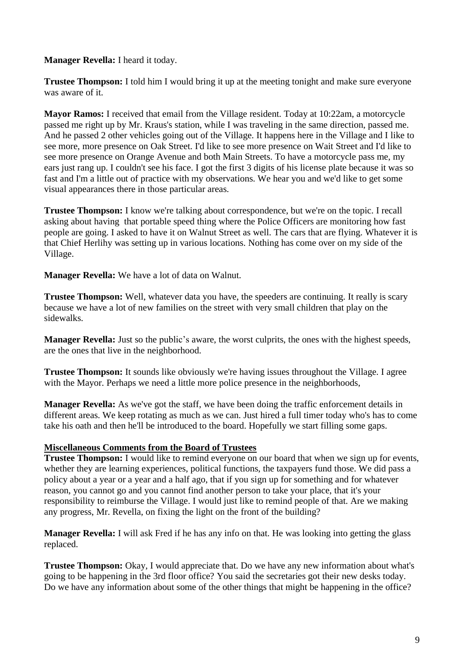**Manager Revella:** I heard it today.

**Trustee Thompson:** I told him I would bring it up at the meeting tonight and make sure everyone was aware of it.

**Mayor Ramos:** I received that email from the Village resident. Today at 10:22am, a motorcycle passed me right up by Mr. Kraus's station, while I was traveling in the same direction, passed me. And he passed 2 other vehicles going out of the Village. It happens here in the Village and I like to see more, more presence on Oak Street. I'd like to see more presence on Wait Street and I'd like to see more presence on Orange Avenue and both Main Streets. To have a motorcycle pass me, my ears just rang up. I couldn't see his face. I got the first 3 digits of his license plate because it was so fast and I'm a little out of practice with my observations. We hear you and we'd like to get some visual appearances there in those particular areas.

**Trustee Thompson:** I know we're talking about correspondence, but we're on the topic. I recall asking about having that portable speed thing where the Police Officers are monitoring how fast people are going. I asked to have it on Walnut Street as well. The cars that are flying. Whatever it is that Chief Herlihy was setting up in various locations. Nothing has come over on my side of the Village.

**Manager Revella:** We have a lot of data on Walnut.

**Trustee Thompson:** Well, whatever data you have, the speeders are continuing. It really is scary because we have a lot of new families on the street with very small children that play on the sidewalks.

**Manager Revella:** Just so the public's aware, the worst culprits, the ones with the highest speeds, are the ones that live in the neighborhood.

**Trustee Thompson:** It sounds like obviously we're having issues throughout the Village. I agree with the Mayor. Perhaps we need a little more police presence in the neighborhoods,

**Manager Revella:** As we've got the staff, we have been doing the traffic enforcement details in different areas. We keep rotating as much as we can. Just hired a full timer today who's has to come take his oath and then he'll be introduced to the board. Hopefully we start filling some gaps.

# **Miscellaneous Comments from the Board of Trustees**

**Trustee Thompson:** I would like to remind everyone on our board that when we sign up for events, whether they are learning experiences, political functions, the taxpayers fund those. We did pass a policy about a year or a year and a half ago, that if you sign up for something and for whatever reason, you cannot go and you cannot find another person to take your place, that it's your responsibility to reimburse the Village. I would just like to remind people of that. Are we making any progress, Mr. Revella, on fixing the light on the front of the building?

**Manager Revella:** I will ask Fred if he has any info on that. He was looking into getting the glass replaced.

**Trustee Thompson:** Okay, I would appreciate that. Do we have any new information about what's going to be happening in the 3rd floor office? You said the secretaries got their new desks today. Do we have any information about some of the other things that might be happening in the office?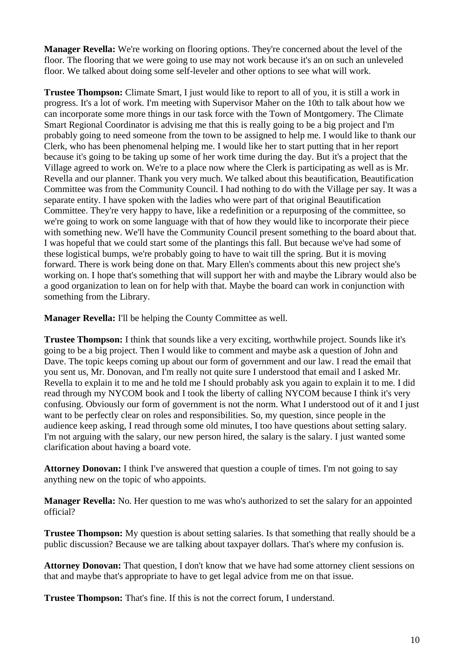**Manager Revella:** We're working on flooring options. They're concerned about the level of the floor. The flooring that we were going to use may not work because it's an on such an unleveled floor. We talked about doing some self-leveler and other options to see what will work.

**Trustee Thompson:** Climate Smart, I just would like to report to all of you, it is still a work in progress. It's a lot of work. I'm meeting with Supervisor Maher on the 10th to talk about how we can incorporate some more things in our task force with the Town of Montgomery. The Climate Smart Regional Coordinator is advising me that this is really going to be a big project and I'm probably going to need someone from the town to be assigned to help me. I would like to thank our Clerk, who has been phenomenal helping me. I would like her to start putting that in her report because it's going to be taking up some of her work time during the day. But it's a project that the Village agreed to work on. We're to a place now where the Clerk is participating as well as is Mr. Revella and our planner. Thank you very much. We talked about this beautification, Beautification Committee was from the Community Council. I had nothing to do with the Village per say. It was a separate entity. I have spoken with the ladies who were part of that original Beautification Committee. They're very happy to have, like a redefinition or a repurposing of the committee, so we're going to work on some language with that of how they would like to incorporate their piece with something new. We'll have the Community Council present something to the board about that. I was hopeful that we could start some of the plantings this fall. But because we've had some of these logistical bumps, we're probably going to have to wait till the spring. But it is moving forward. There is work being done on that. Mary Ellen's comments about this new project she's working on. I hope that's something that will support her with and maybe the Library would also be a good organization to lean on for help with that. Maybe the board can work in conjunction with something from the Library.

**Manager Revella:** I'll be helping the County Committee as well.

**Trustee Thompson:** I think that sounds like a very exciting, worthwhile project. Sounds like it's going to be a big project. Then I would like to comment and maybe ask a question of John and Dave. The topic keeps coming up about our form of government and our law. I read the email that you sent us, Mr. Donovan, and I'm really not quite sure I understood that email and I asked Mr. Revella to explain it to me and he told me I should probably ask you again to explain it to me. I did read through my NYCOM book and I took the liberty of calling NYCOM because I think it's very confusing. Obviously our form of government is not the norm. What I understood out of it and I just want to be perfectly clear on roles and responsibilities. So, my question, since people in the audience keep asking, I read through some old minutes, I too have questions about setting salary. I'm not arguing with the salary, our new person hired, the salary is the salary. I just wanted some clarification about having a board vote.

**Attorney Donovan:** I think I've answered that question a couple of times. I'm not going to say anything new on the topic of who appoints.

**Manager Revella:** No. Her question to me was who's authorized to set the salary for an appointed official?

**Trustee Thompson:** My question is about setting salaries. Is that something that really should be a public discussion? Because we are talking about taxpayer dollars. That's where my confusion is.

**Attorney Donovan:** That question, I don't know that we have had some attorney client sessions on that and maybe that's appropriate to have to get legal advice from me on that issue.

**Trustee Thompson:** That's fine. If this is not the correct forum, I understand.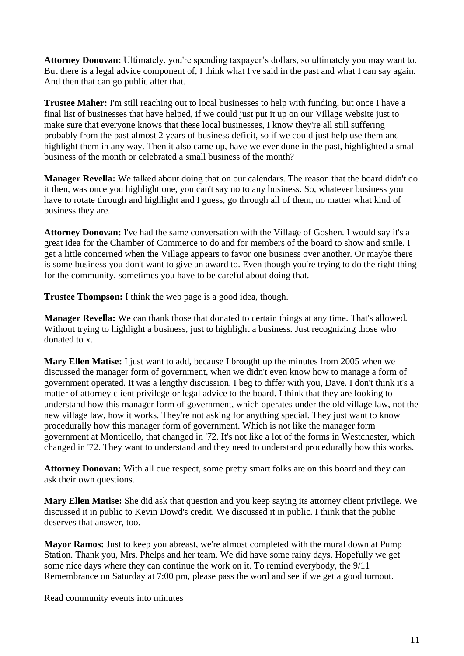**Attorney Donovan:** Ultimately, you're spending taxpayer's dollars, so ultimately you may want to. But there is a legal advice component of, I think what I've said in the past and what I can say again. And then that can go public after that.

**Trustee Maher:** I'm still reaching out to local businesses to help with funding, but once I have a final list of businesses that have helped, if we could just put it up on our Village website just to make sure that everyone knows that these local businesses, I know they're all still suffering probably from the past almost 2 years of business deficit, so if we could just help use them and highlight them in any way. Then it also came up, have we ever done in the past, highlighted a small business of the month or celebrated a small business of the month?

**Manager Revella:** We talked about doing that on our calendars. The reason that the board didn't do it then, was once you highlight one, you can't say no to any business. So, whatever business you have to rotate through and highlight and I guess, go through all of them, no matter what kind of business they are.

**Attorney Donovan:** I've had the same conversation with the Village of Goshen. I would say it's a great idea for the Chamber of Commerce to do and for members of the board to show and smile. I get a little concerned when the Village appears to favor one business over another. Or maybe there is some business you don't want to give an award to. Even though you're trying to do the right thing for the community, sometimes you have to be careful about doing that.

**Trustee Thompson:** I think the web page is a good idea, though.

**Manager Revella:** We can thank those that donated to certain things at any time. That's allowed. Without trying to highlight a business, just to highlight a business. Just recognizing those who donated to x.

**Mary Ellen Matise:** I just want to add, because I brought up the minutes from 2005 when we discussed the manager form of government, when we didn't even know how to manage a form of government operated. It was a lengthy discussion. I beg to differ with you, Dave. I don't think it's a matter of attorney client privilege or legal advice to the board. I think that they are looking to understand how this manager form of government, which operates under the old village law, not the new village law, how it works. They're not asking for anything special. They just want to know procedurally how this manager form of government. Which is not like the manager form government at Monticello, that changed in '72. It's not like a lot of the forms in Westchester, which changed in '72. They want to understand and they need to understand procedurally how this works.

**Attorney Donovan:** With all due respect, some pretty smart folks are on this board and they can ask their own questions.

**Mary Ellen Matise:** She did ask that question and you keep saying its attorney client privilege. We discussed it in public to Kevin Dowd's credit. We discussed it in public. I think that the public deserves that answer, too.

**Mayor Ramos:** Just to keep you abreast, we're almost completed with the mural down at Pump Station. Thank you, Mrs. Phelps and her team. We did have some rainy days. Hopefully we get some nice days where they can continue the work on it. To remind everybody, the 9/11 Remembrance on Saturday at 7:00 pm, please pass the word and see if we get a good turnout.

Read community events into minutes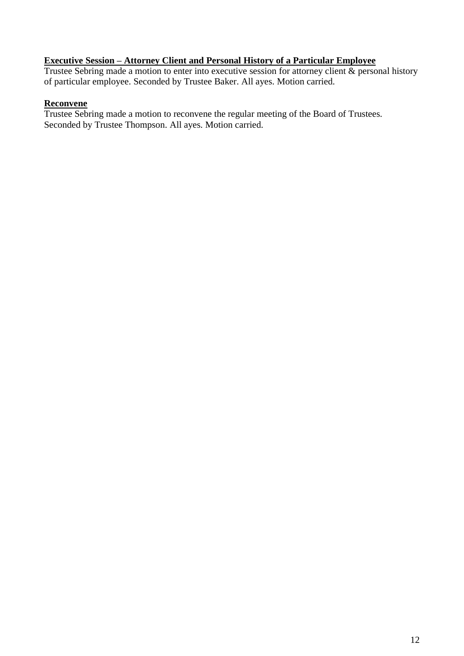#### **Executive Session – Attorney Client and Personal History of a Particular Employee**

Trustee Sebring made a motion to enter into executive session for attorney client & personal history of particular employee. Seconded by Trustee Baker. All ayes. Motion carried.

# **Reconvene**

Trustee Sebring made a motion to reconvene the regular meeting of the Board of Trustees. Seconded by Trustee Thompson. All ayes. Motion carried.